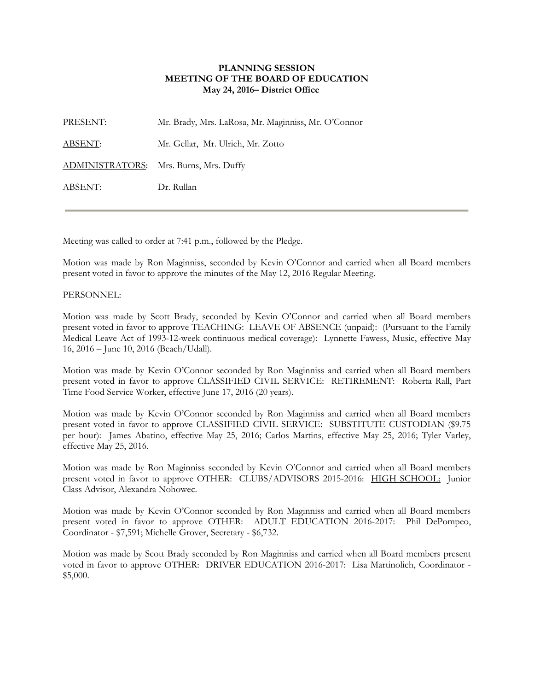## **PLANNING SESSION MEETING OF THE BOARD OF EDUCATION May 24, 2016– District Office**

PRESENT: Mr. Brady, Mrs. LaRosa, Mr. Maginniss, Mr. O'Connor ABSENT: Mr. Gellar, Mr. Ulrich, Mr. Zotto ADMINISTRATORS: Mrs. Burns, Mrs. Duffy ABSENT: Dr. Rullan

Meeting was called to order at 7:41 p.m., followed by the Pledge.

Motion was made by Ron Maginniss, seconded by Kevin O'Connor and carried when all Board members present voted in favor to approve the minutes of the May 12, 2016 Regular Meeting.

## PERSONNEL:

Motion was made by Scott Brady, seconded by Kevin O'Connor and carried when all Board members present voted in favor to approve TEACHING: LEAVE OF ABSENCE (unpaid): (Pursuant to the Family Medical Leave Act of 1993-12-week continuous medical coverage): Lynnette Fawess, Music, effective May 16, 2016 – June 10, 2016 (Beach/Udall).

Motion was made by Kevin O'Connor seconded by Ron Maginniss and carried when all Board members present voted in favor to approve CLASSIFIED CIVIL SERVICE: RETIREMENT: Roberta Rall, Part Time Food Service Worker, effective June 17, 2016 (20 years).

Motion was made by Kevin O'Connor seconded by Ron Maginniss and carried when all Board members present voted in favor to approve CLASSIFIED CIVIL SERVICE: SUBSTITUTE CUSTODIAN (\$9.75 per hour): James Abatino, effective May 25, 2016; Carlos Martins, effective May 25, 2016; Tyler Varley, effective May 25, 2016.

Motion was made by Ron Maginniss seconded by Kevin O'Connor and carried when all Board members present voted in favor to approve OTHER: CLUBS/ADVISORS 2015-2016: HIGH SCHOOL: Junior Class Advisor, Alexandra Nohowec.

Motion was made by Kevin O'Connor seconded by Ron Maginniss and carried when all Board members present voted in favor to approve OTHER: ADULT EDUCATION 2016-2017: Phil DePompeo, Coordinator - \$7,591; Michelle Grover, Secretary - \$6,732.

Motion was made by Scott Brady seconded by Ron Maginniss and carried when all Board members present voted in favor to approve OTHER: DRIVER EDUCATION 2016-2017: Lisa Martinolich, Coordinator - \$5,000.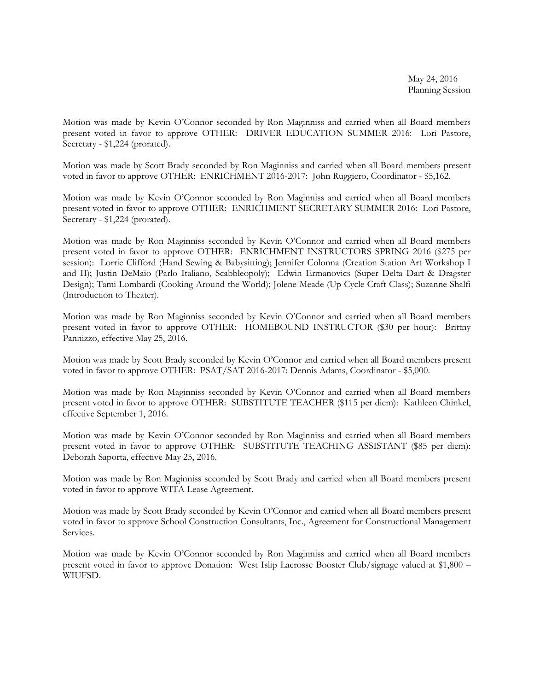Motion was made by Kevin O'Connor seconded by Ron Maginniss and carried when all Board members present voted in favor to approve OTHER: DRIVER EDUCATION SUMMER 2016: Lori Pastore, Secretary - \$1,224 (prorated).

Motion was made by Scott Brady seconded by Ron Maginniss and carried when all Board members present voted in favor to approve OTHER: ENRICHMENT 2016-2017: John Ruggiero, Coordinator - \$5,162.

Motion was made by Kevin O'Connor seconded by Ron Maginniss and carried when all Board members present voted in favor to approve OTHER: ENRICHMENT SECRETARY SUMMER 2016: Lori Pastore, Secretary - \$1,224 (prorated).

Motion was made by Ron Maginniss seconded by Kevin O'Connor and carried when all Board members present voted in favor to approve OTHER: ENRICHMENT INSTRUCTORS SPRING 2016 (\$275 per session): Lorrie Clifford (Hand Sewing & Babysitting); Jennifer Colonna (Creation Station Art Workshop I and II); Justin DeMaio (Parlo Italiano, Scabbleopoly); Edwin Ermanovics (Super Delta Dart & Dragster Design); Tami Lombardi (Cooking Around the World); Jolene Meade (Up Cycle Craft Class); Suzanne Shalfi (Introduction to Theater).

Motion was made by Ron Maginniss seconded by Kevin O'Connor and carried when all Board members present voted in favor to approve OTHER: HOMEBOUND INSTRUCTOR (\$30 per hour): Brittny Pannizzo, effective May 25, 2016.

Motion was made by Scott Brady seconded by Kevin O'Connor and carried when all Board members present voted in favor to approve OTHER: PSAT/SAT 2016-2017: Dennis Adams, Coordinator - \$5,000.

Motion was made by Ron Maginniss seconded by Kevin O'Connor and carried when all Board members present voted in favor to approve OTHER: SUBSTITUTE TEACHER (\$115 per diem): Kathleen Chinkel, effective September 1, 2016.

Motion was made by Kevin O'Connor seconded by Ron Maginniss and carried when all Board members present voted in favor to approve OTHER: SUBSTITUTE TEACHING ASSISTANT (\$85 per diem): Deborah Saporta, effective May 25, 2016.

Motion was made by Ron Maginniss seconded by Scott Brady and carried when all Board members present voted in favor to approve WITA Lease Agreement.

Motion was made by Scott Brady seconded by Kevin O'Connor and carried when all Board members present voted in favor to approve School Construction Consultants, Inc., Agreement for Constructional Management Services.

Motion was made by Kevin O'Connor seconded by Ron Maginniss and carried when all Board members present voted in favor to approve Donation: West Islip Lacrosse Booster Club/signage valued at \$1,800 – WIUFSD.